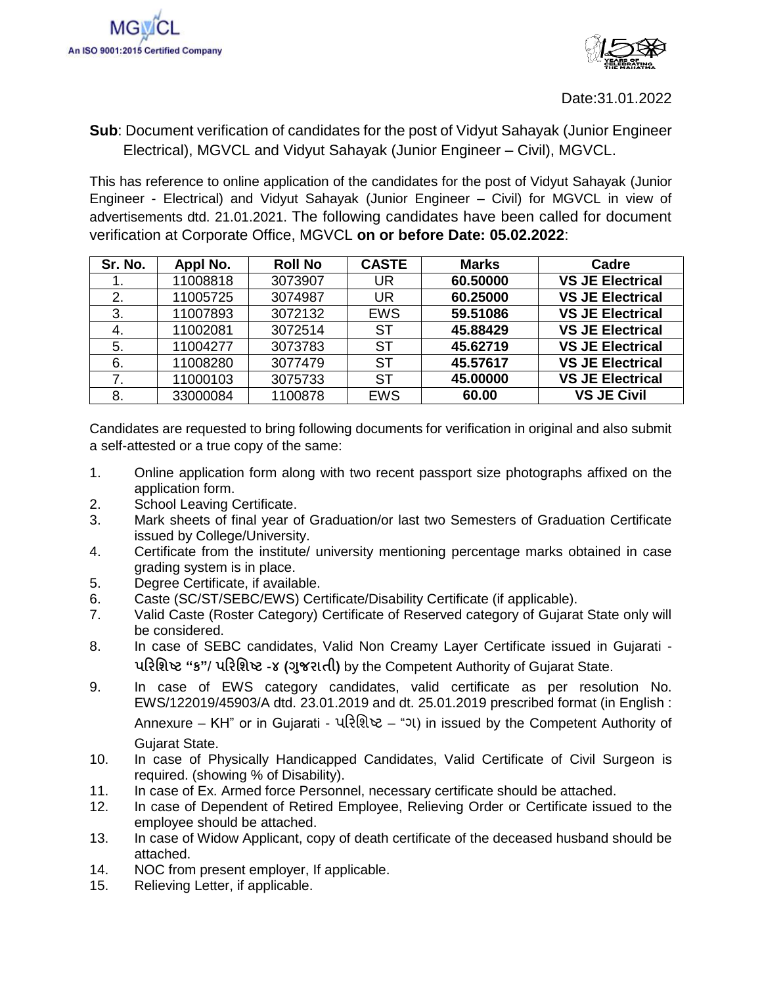

## **Sub**: Document verification of candidates for the post of Vidyut Sahayak (Junior Engineer Electrical), MGVCL and Vidyut Sahayak (Junior Engineer – Civil), MGVCL.

This has reference to online application of the candidates for the post of Vidyut Sahayak (Junior Engineer - Electrical) and Vidyut Sahayak (Junior Engineer – Civil) for MGVCL in view of advertisements dtd. 21.01.2021. The following candidates have been called for document verification at Corporate Office, MGVCL **on or before Date: 05.02.2022**:

| Sr. No. | Appl No. | <b>Roll No</b> | <b>CASTE</b> | <b>Marks</b> | Cadre                   |
|---------|----------|----------------|--------------|--------------|-------------------------|
|         | 11008818 | 3073907        | <b>UR</b>    | 60.50000     | <b>VS JE Electrical</b> |
| 2.      | 11005725 | 3074987        | <b>UR</b>    | 60.25000     | <b>VS JE Electrical</b> |
| 3.      | 11007893 | 3072132        | <b>EWS</b>   | 59.51086     | <b>VS JE Electrical</b> |
| 4.      | 11002081 | 3072514        | <b>ST</b>    | 45.88429     | <b>VS JE Electrical</b> |
| 5.      | 11004277 | 3073783        | SТ           | 45.62719     | <b>VS JE Electrical</b> |
| 6.      | 11008280 | 3077479        | <b>ST</b>    | 45.57617     | <b>VS JE Electrical</b> |
| 7.      | 11000103 | 3075733        | SТ           | 45.00000     | <b>VS JE Electrical</b> |
| 8.      | 33000084 | 1100878        | <b>EWS</b>   | 60.00        | <b>VS JE Civil</b>      |

Candidates are requested to bring following documents for verification in original and also submit a self-attested or a true copy of the same:

- 1. Online application form along with two recent passport size photographs affixed on the application form.
- 2. School Leaving Certificate.
- 3. Mark sheets of final year of Graduation/or last two Semesters of Graduation Certificate issued by College/University.
- 4. Certificate from the institute/ university mentioning percentage marks obtained in case grading system is in place.
- 5. Degree Certificate, if available.
- 6. Caste (SC/ST/SEBC/EWS) Certificate/Disability Certificate (if applicable).
- 7. Valid Caste (Roster Category) Certificate of Reserved category of Gujarat State only will be considered.
- 8. In case of SEBC candidates, Valid Non Creamy Layer Certificate issued in Gujarati **પરિશિષ્ટ "ક"**/ **પરિશિષ્ટ** -**૪ (ગજુ િાતી)** by the Competent Authority of Gujarat State.
- 9. In case of EWS category candidates, valid certificate as per resolution No. EWS/122019/45903/A dtd. 23.01.2019 and dt. 25.01.2019 prescribed format (in English : Annexure – KH" or in Gujarati - પરિશિષ્ટ – "ગ) in issued by the Competent Authority of Gujarat State.
- 10. In case of Physically Handicapped Candidates, Valid Certificate of Civil Surgeon is required. (showing % of Disability).
- 11. In case of Ex. Armed force Personnel, necessary certificate should be attached.
- 12. In case of Dependent of Retired Employee, Relieving Order or Certificate issued to the employee should be attached.
- 13. In case of Widow Applicant, copy of death certificate of the deceased husband should be attached.
- 14. NOC from present employer, If applicable.
- 15. Relieving Letter, if applicable.